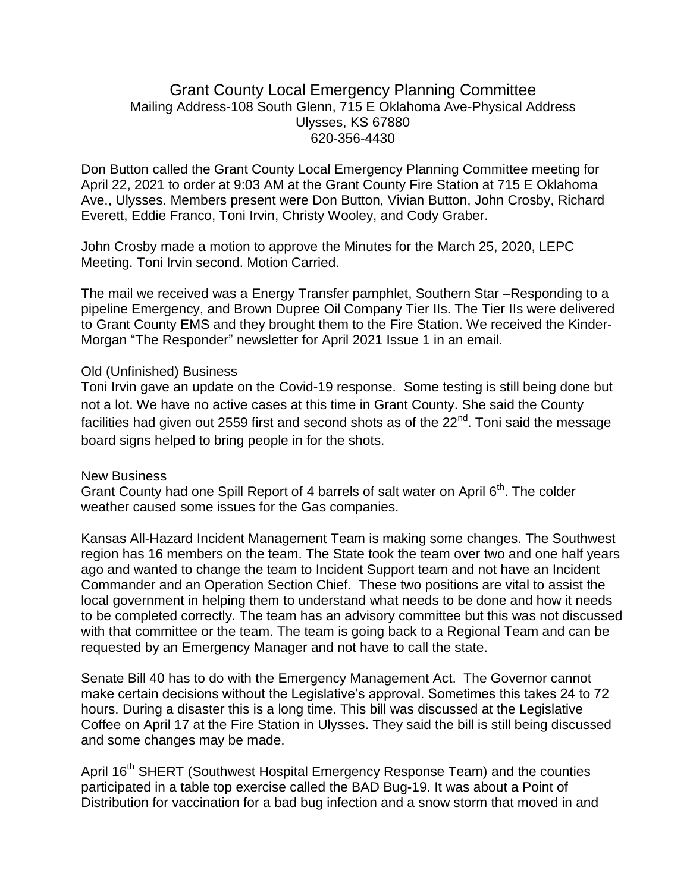## Grant County Local Emergency Planning Committee Mailing Address-108 South Glenn, 715 E Oklahoma Ave-Physical Address Ulysses, KS 67880 620-356-4430

Don Button called the Grant County Local Emergency Planning Committee meeting for April 22, 2021 to order at 9:03 AM at the Grant County Fire Station at 715 E Oklahoma Ave., Ulysses. Members present were Don Button, Vivian Button, John Crosby, Richard Everett, Eddie Franco, Toni Irvin, Christy Wooley, and Cody Graber.

John Crosby made a motion to approve the Minutes for the March 25, 2020, LEPC Meeting. Toni Irvin second. Motion Carried.

The mail we received was a Energy Transfer pamphlet, Southern Star –Responding to a pipeline Emergency, and Brown Dupree Oil Company Tier IIs. The Tier IIs were delivered to Grant County EMS and they brought them to the Fire Station. We received the Kinder-Morgan "The Responder" newsletter for April 2021 Issue 1 in an email.

## Old (Unfinished) Business

Toni Irvin gave an update on the Covid-19 response. Some testing is still being done but not a lot. We have no active cases at this time in Grant County. She said the County facilities had given out 2559 first and second shots as of the  $22<sup>nd</sup>$ . Toni said the message board signs helped to bring people in for the shots.

## New Business

Grant County had one Spill Report of 4 barrels of salt water on April 6<sup>th</sup>. The colder weather caused some issues for the Gas companies.

Kansas All-Hazard Incident Management Team is making some changes. The Southwest region has 16 members on the team. The State took the team over two and one half years ago and wanted to change the team to Incident Support team and not have an Incident Commander and an Operation Section Chief. These two positions are vital to assist the local government in helping them to understand what needs to be done and how it needs to be completed correctly. The team has an advisory committee but this was not discussed with that committee or the team. The team is going back to a Regional Team and can be requested by an Emergency Manager and not have to call the state.

Senate Bill 40 has to do with the Emergency Management Act. The Governor cannot make certain decisions without the Legislative's approval. Sometimes this takes 24 to 72 hours. During a disaster this is a long time. This bill was discussed at the Legislative Coffee on April 17 at the Fire Station in Ulysses. They said the bill is still being discussed and some changes may be made.

April 16<sup>th</sup> SHERT (Southwest Hospital Emergency Response Team) and the counties participated in a table top exercise called the BAD Bug-19. It was about a Point of Distribution for vaccination for a bad bug infection and a snow storm that moved in and